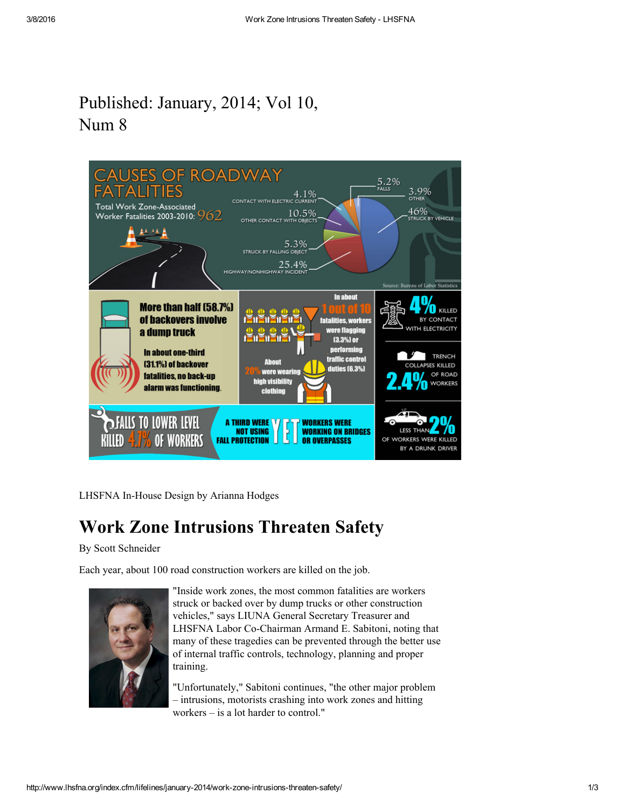## Published: January, 2014; Vol 10, Num 8



LHSFNA In-House Design by Arianna Hodges

## Work Zone Intrusions Threaten Safety

By Scott Schneider

Each year, about 100 road construction workers are killed on the job.



"Inside work zones, the most common fatalities are workers struck or backed over by dump trucks or other construction vehicles," says LIUNA General Secretary Treasurer and LHSFNA Labor Co-Chairman Armand E. Sabitoni, noting that many of these tragedies can be prevented through the better use of internal traffic controls, technology, planning and proper training.

"Unfortunately," Sabitoni continues, "the other major problem – intrusions, motorists crashing into work zones and hitting workers – is a lot harder to control."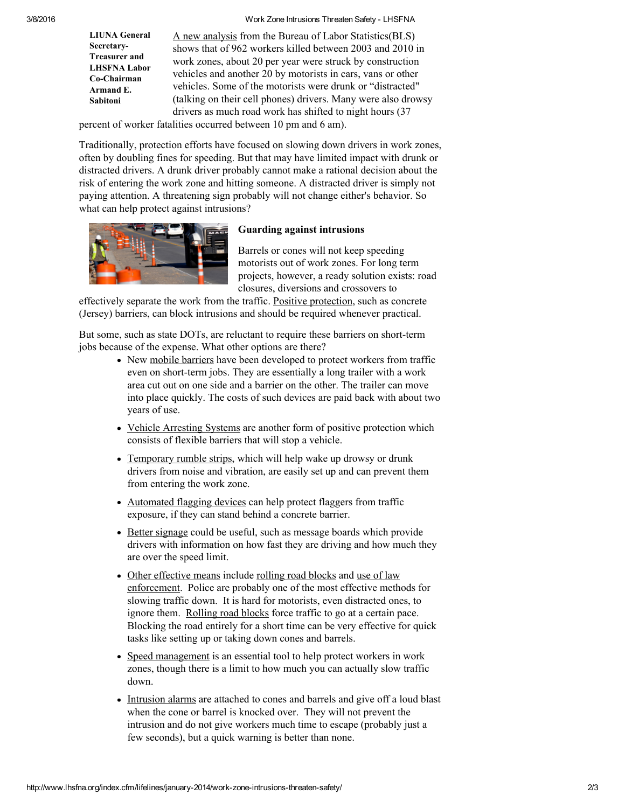3/8/2016 Work Zone Intrusions Threaten Safety LHSFNA

LIUNA General Secretary-Treasurer and LHSFNA Labor Co-Chairman Armand E. Sabitoni

A new [analysis](http://www.bls.gov/opub/mlr/2013/article/an-analysis-of-fatal-occupational-injuries-at-road-construction-sites-2003-2010.htm) from the Bureau of Labor Statistics(BLS) shows that of 962 workers killed between 2003 and 2010 in work zones, about 20 per year were struck by construction vehicles and another 20 by motorists in cars, vans or other vehicles. Some of the motorists were drunk or "distracted" (talking on their cell phones) drivers. Many were also drowsy drivers as much road work has shifted to night hours (37

percent of worker fatalities occurred between 10 pm and 6 am).

Traditionally, protection efforts have focused on slowing down drivers in work zones, often by doubling fines for speeding. But that may have limited impact with drunk or distracted drivers. A drunk driver probably cannot make a rational decision about the risk of entering the work zone and hitting someone. A distracted driver is simply not paying attention. A threatening sign probably will not change either's behavior. So what can help protect against intrusions?



## Guarding against intrusions

Barrels or cones will not keep speeding motorists out of work zones. For long term projects, however, a ready solution exists: road closures, diversions and crossovers to

effectively separate the work from the traffic. Positive [protection,](http://www.workzonesafety.org/files/documents/training/fhwa_wz_grant/atssa_positive_protection_guidelines.pdf) such as concrete (Jersey) barriers, can block intrusions and should be required whenever practical.

But some, such as state DOTs, are reluctant to require these barriers on short-term jobs because of the expense. What other options are there?

- New mobile [barriers](http://www.mobilebarriers.com/) have been developed to protect workers from traffic even on short-term jobs. They are essentially a long trailer with a work area cut out on one side and a barrier on the other. The trailer can move into place quickly. The costs of such devices are paid back with about two years of use.
- Vehicle [Arresting](http://www.atssa.com/galleries/default-file/WZ%20Positive%20Protection%20Toolbox%20LL%20-%20FINAL.pdf) Systems are another form of positive protection which consists of flexible barriers that will stop a vehicle.
- [Temporary](http://www.plasticsafety.com/road-quake-temporary-portable-rumble-strips) rumble strips, which will help wake up drowsy or drunk drivers from noise and vibration, are easily set up and can prevent them from entering the work zone.
- [Automated](http://www.workzonesafety.org/fhwa_wz_grant/atssa/atssa_afad) flagging devices can help protect flaggers from traffic exposure, if they can stand behind a concrete barrier.
- Better [signage](http://www.workzonesafety.org/files/documents/training/courses_programs/rsa_program/RSP_Guidance_Documents_Download/RSP_Positive_Guidance_Download.pdf) could be useful, such as message boards which provide drivers with information on how fast they are driving and how much they are over the speed limit.
- Other [effective](http://www.workzonesafety.org/files/documents/training/courses_programs/rsa_program/RSP_Guidance_Documents_Download/RSP_Exposure_Controls_Guidance_Download.pdf) means include [rolling](http://www.workzonesafety.org/fhwa_wz_grant/atssa/atssa_rolling_roadblocks) road blocks and use of law [enforcement.](http://www.workzonesafety.org/files/documents/training/courses_programs/rsa_program/RSP_Guidance_Documents_Download/RSP_Law_Enforcement_Download.pdf) Police are probably one of the most effective methods for slowing traffic down. It is hard for motorists, even distracted ones, to ignore them. [Rolling](http://www.workzonesafety.org/fhwa_wz_grant/atssa/atssa_rolling_roadblocks) road blocks force traffic to go at a certain pace. Blocking the road entirely for a short time can be very effective for quick tasks like setting up or taking down cones and barrels.
- Speed [management](http://www.workzonesafety.org/files/documents/training/courses_programs/rsa_program/RSP_Guidance_Documents_Download/RSP_Speed_Guidance_Download.pdf) is an essential tool to help protect workers in work zones, though there is a limit to how much you can actually slow traffic down.
- [Intrusion](http://www.transpo.com/SonoBlaster.html) alarms are attached to cones and barrels and give off a loud blast when the cone or barrel is knocked over. They will not prevent the intrusion and do not give workers much time to escape (probably just a few seconds), but a quick warning is better than none.